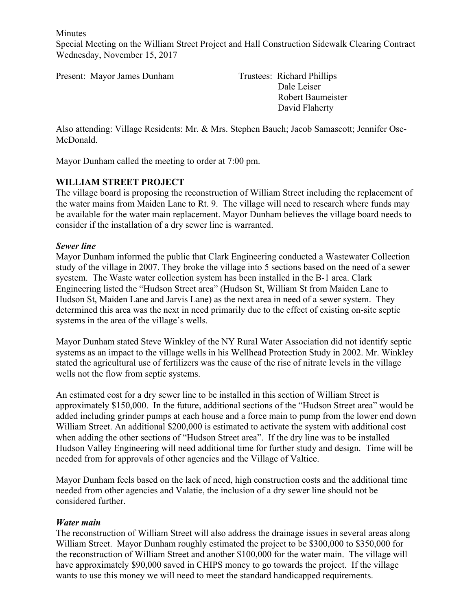**Minutes** 

Special Meeting on the William Street Project and Hall Construction Sidewalk Clearing Contract Wednesday, November 15, 2017

Present: Mayor James Dunham Trustees: Richard Phillips

 Dale Leiser Robert Baumeister David Flaherty

Also attending: Village Residents: Mr. & Mrs. Stephen Bauch; Jacob Samascott; Jennifer Ose-McDonald.

Mayor Dunham called the meeting to order at 7:00 pm.

# **WILLIAM STREET PROJECT**

The village board is proposing the reconstruction of William Street including the replacement of the water mains from Maiden Lane to Rt. 9. The village will need to research where funds may be available for the water main replacement. Mayor Dunham believes the village board needs to consider if the installation of a dry sewer line is warranted.

### *Sewer line*

Mayor Dunham informed the public that Clark Engineering conducted a Wastewater Collection study of the village in 2007. They broke the village into 5 sections based on the need of a sewer syestem. The Waste water collection system has been installed in the B-1 area. Clark Engineering listed the "Hudson Street area" (Hudson St, William St from Maiden Lane to Hudson St, Maiden Lane and Jarvis Lane) as the next area in need of a sewer system. They determined this area was the next in need primarily due to the effect of existing on-site septic systems in the area of the village's wells.

Mayor Dunham stated Steve Winkley of the NY Rural Water Association did not identify septic systems as an impact to the village wells in his Wellhead Protection Study in 2002. Mr. Winkley stated the agricultural use of fertilizers was the cause of the rise of nitrate levels in the village wells not the flow from septic systems.

An estimated cost for a dry sewer line to be installed in this section of William Street is approximately \$150,000. In the future, additional sections of the "Hudson Street area" would be added including grinder pumps at each house and a force main to pump from the lower end down William Street. An additional \$200,000 is estimated to activate the system with additional cost when adding the other sections of "Hudson Street area". If the dry line was to be installed Hudson Valley Engineering will need additional time for further study and design. Time will be needed from for approvals of other agencies and the Village of Valtice.

Mayor Dunham feels based on the lack of need, high construction costs and the additional time needed from other agencies and Valatie, the inclusion of a dry sewer line should not be considered further.

#### *Water main*

The reconstruction of William Street will also address the drainage issues in several areas along William Street. Mayor Dunham roughly estimated the project to be \$300,000 to \$350,000 for the reconstruction of William Street and another \$100,000 for the water main. The village will have approximately \$90,000 saved in CHIPS money to go towards the project. If the village wants to use this money we will need to meet the standard handicapped requirements.